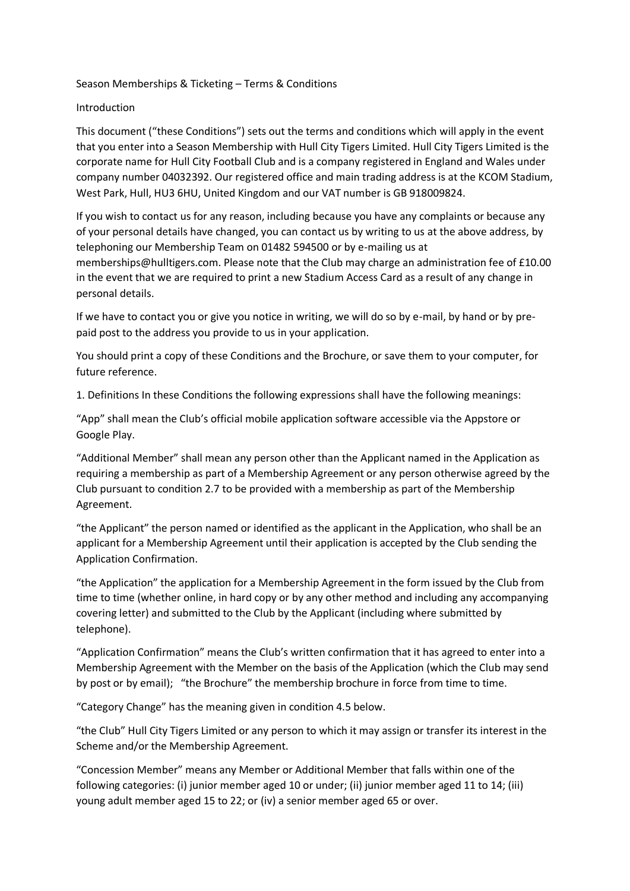#### Season Memberships & Ticketing – Terms & Conditions

#### Introduction

This document ("these Conditions") sets out the terms and conditions which will apply in the event that you enter into a Season Membership with Hull City Tigers Limited. Hull City Tigers Limited is the corporate name for Hull City Football Club and is a company registered in England and Wales under company number 04032392. Our registered office and main trading address is at the KCOM Stadium, West Park, Hull, HU3 6HU, United Kingdom and our VAT number is GB 918009824.

If you wish to contact us for any reason, including because you have any complaints or because any of your personal details have changed, you can contact us by writing to us at the above address, by telephoning our Membership Team on 01482 594500 or by e-mailing us at memberships@hulltigers.com. Please note that the Club may charge an administration fee of £10.00 in the event that we are required to print a new Stadium Access Card as a result of any change in personal details.

If we have to contact you or give you notice in writing, we will do so by e-mail, by hand or by prepaid post to the address you provide to us in your application.

You should print a copy of these Conditions and the Brochure, or save them to your computer, for future reference.

1. Definitions In these Conditions the following expressions shall have the following meanings:

"App" shall mean the Club's official mobile application software accessible via the Appstore or Google Play.

"Additional Member" shall mean any person other than the Applicant named in the Application as requiring a membership as part of a Membership Agreement or any person otherwise agreed by the Club pursuant to condition 2.7 to be provided with a membership as part of the Membership Agreement.

"the Applicant" the person named or identified as the applicant in the Application, who shall be an applicant for a Membership Agreement until their application is accepted by the Club sending the Application Confirmation.

"the Application" the application for a Membership Agreement in the form issued by the Club from time to time (whether online, in hard copy or by any other method and including any accompanying covering letter) and submitted to the Club by the Applicant (including where submitted by telephone).

"Application Confirmation" means the Club's written confirmation that it has agreed to enter into a Membership Agreement with the Member on the basis of the Application (which the Club may send by post or by email); "the Brochure" the membership brochure in force from time to time.

"Category Change" has the meaning given in condition 4.5 below.

"the Club" Hull City Tigers Limited or any person to which it may assign or transfer its interest in the Scheme and/or the Membership Agreement.

"Concession Member" means any Member or Additional Member that falls within one of the following categories: (i) junior member aged 10 or under; (ii) junior member aged 11 to 14; (iii) young adult member aged 15 to 22; or (iv) a senior member aged 65 or over.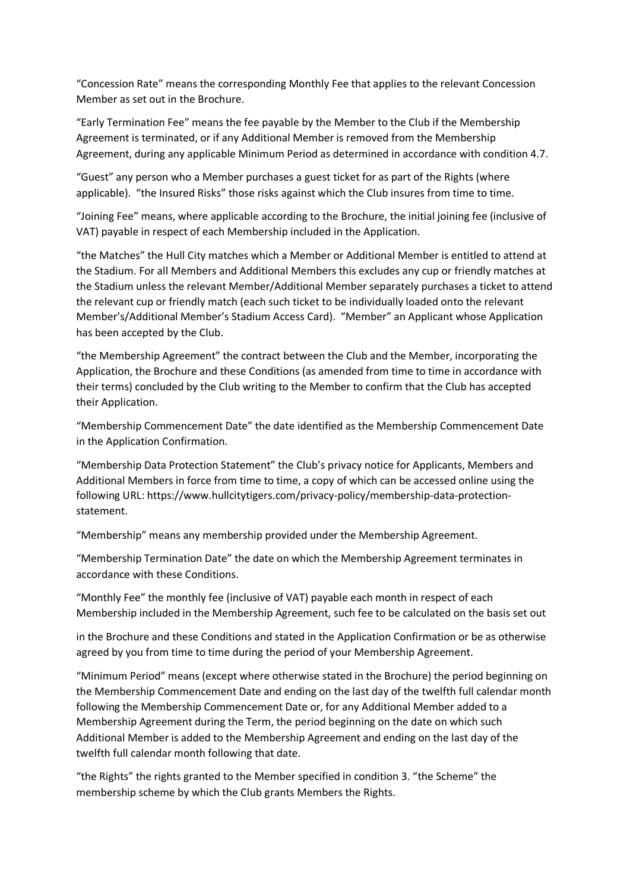"Concession Rate" means the corresponding Monthly Fee that applies to the relevant Concession Member as set out in the Brochure.

"Early Termination Fee" means the fee payable by the Member to the Club if the Membership Agreement is terminated, or if any Additional Member is removed from the Membership Agreement, during any applicable Minimum Period as determined in accordance with condition 4.7.

"Guest" any person who a Member purchases a guest ticket for as part of the Rights (where applicable). "the Insured Risks" those risks against which the Club insures from time to time.

"Joining Fee" means, where applicable according to the Brochure, the initial joining fee (inclusive of VAT) payable in respect of each Membership included in the Application.

"the Matches" the Hull City matches which a Member or Additional Member is entitled to attend at the Stadium. For all Members and Additional Members this excludes any cup or friendly matches at the Stadium unless the relevant Member/Additional Member separately purchases a ticket to attend the relevant cup or friendly match (each such ticket to be individually loaded onto the relevant Member's/Additional Member's Stadium Access Card). "Member" an Applicant whose Application has been accepted by the Club.

"the Membership Agreement" the contract between the Club and the Member, incorporating the Application, the Brochure and these Conditions (as amended from time to time in accordance with their terms) concluded by the Club writing to the Member to confirm that the Club has accepted their Application.

"Membership Commencement Date" the date identified as the Membership Commencement Date in the Application Confirmation.

"Membership Data Protection Statement" the Club's privacy notice for Applicants, Members and Additional Members in force from time to time, a copy of which can be accessed online using the following URL: https://www.hullcitytigers.com/privacy-policy/membership-data-protectionstatement.

"Membership" means any membership provided under the Membership Agreement.

"Membership Termination Date" the date on which the Membership Agreement terminates in accordance with these Conditions.

"Monthly Fee" the monthly fee (inclusive of VAT) payable each month in respect of each Membership included in the Membership Agreement, such fee to be calculated on the basis set out

in the Brochure and these Conditions and stated in the Application Confirmation or be as otherwise agreed by you from time to time during the period of your Membership Agreement.

"Minimum Period" means (except where otherwise stated in the Brochure) the period beginning on the Membership Commencement Date and ending on the last day of the twelfth full calendar month following the Membership Commencement Date or, for any Additional Member added to a Membership Agreement during the Term, the period beginning on the date on which such Additional Member is added to the Membership Agreement and ending on the last day of the twelfth full calendar month following that date.

"the Rights" the rights granted to the Member specified in condition 3. "the Scheme" the membership scheme by which the Club grants Members the Rights.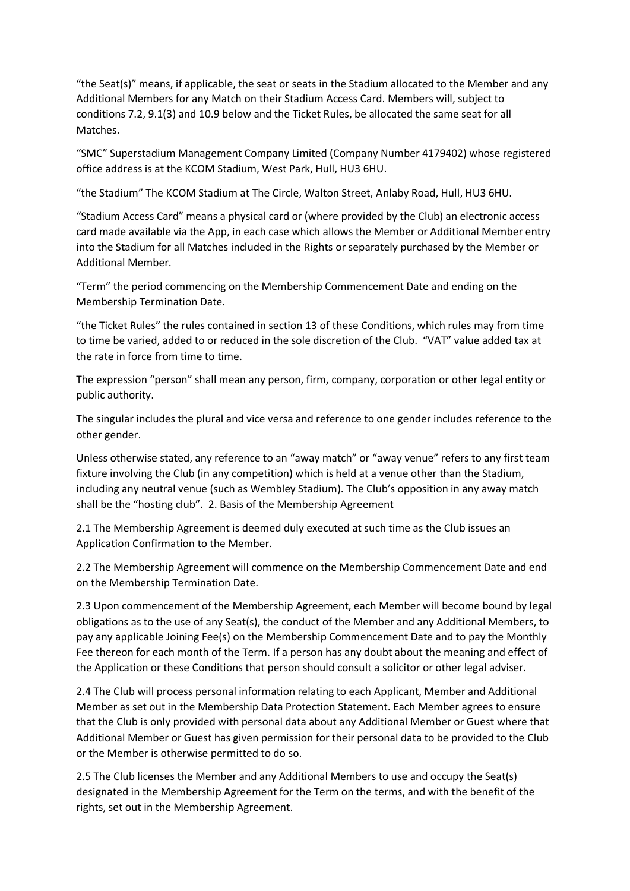"the Seat(s)" means, if applicable, the seat or seats in the Stadium allocated to the Member and any Additional Members for any Match on their Stadium Access Card. Members will, subject to conditions 7.2, 9.1(3) and 10.9 below and the Ticket Rules, be allocated the same seat for all Matches.

"SMC" Superstadium Management Company Limited (Company Number 4179402) whose registered office address is at the KCOM Stadium, West Park, Hull, HU3 6HU.

"the Stadium" The KCOM Stadium at The Circle, Walton Street, Anlaby Road, Hull, HU3 6HU.

"Stadium Access Card" means a physical card or (where provided by the Club) an electronic access card made available via the App, in each case which allows the Member or Additional Member entry into the Stadium for all Matches included in the Rights or separately purchased by the Member or Additional Member.

"Term" the period commencing on the Membership Commencement Date and ending on the Membership Termination Date.

"the Ticket Rules" the rules contained in section 13 of these Conditions, which rules may from time to time be varied, added to or reduced in the sole discretion of the Club. "VAT" value added tax at the rate in force from time to time.

The expression "person" shall mean any person, firm, company, corporation or other legal entity or public authority.

The singular includes the plural and vice versa and reference to one gender includes reference to the other gender.

Unless otherwise stated, any reference to an "away match" or "away venue" refers to any first team fixture involving the Club (in any competition) which is held at a venue other than the Stadium, including any neutral venue (such as Wembley Stadium). The Club's opposition in any away match shall be the "hosting club". 2. Basis of the Membership Agreement

2.1 The Membership Agreement is deemed duly executed at such time as the Club issues an Application Confirmation to the Member.

2.2 The Membership Agreement will commence on the Membership Commencement Date and end on the Membership Termination Date.

2.3 Upon commencement of the Membership Agreement, each Member will become bound by legal obligations as to the use of any Seat(s), the conduct of the Member and any Additional Members, to pay any applicable Joining Fee(s) on the Membership Commencement Date and to pay the Monthly Fee thereon for each month of the Term. If a person has any doubt about the meaning and effect of the Application or these Conditions that person should consult a solicitor or other legal adviser.

2.4 The Club will process personal information relating to each Applicant, Member and Additional Member as set out in the Membership Data Protection Statement. Each Member agrees to ensure that the Club is only provided with personal data about any Additional Member or Guest where that Additional Member or Guest has given permission for their personal data to be provided to the Club or the Member is otherwise permitted to do so.

2.5 The Club licenses the Member and any Additional Members to use and occupy the Seat(s) designated in the Membership Agreement for the Term on the terms, and with the benefit of the rights, set out in the Membership Agreement.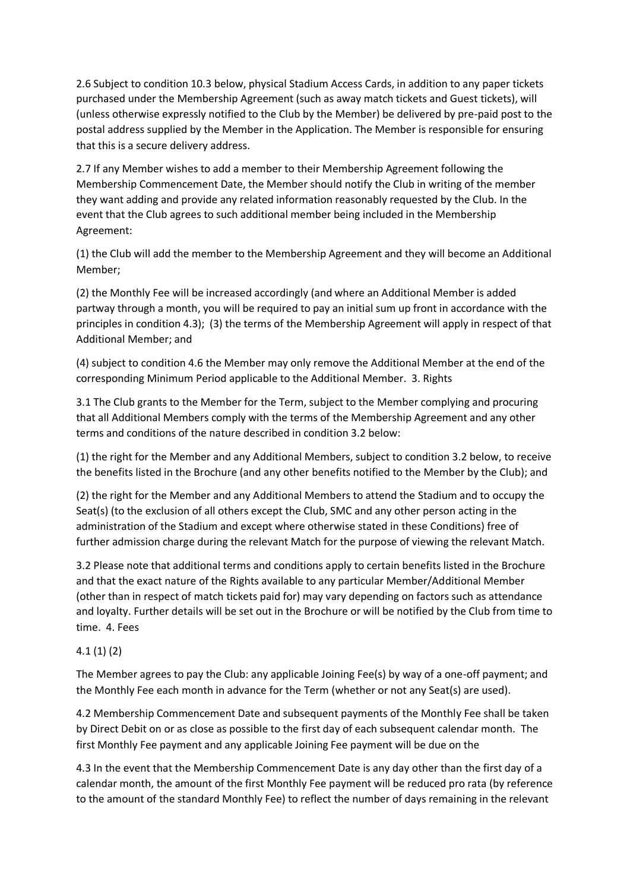2.6 Subject to condition 10.3 below, physical Stadium Access Cards, in addition to any paper tickets purchased under the Membership Agreement (such as away match tickets and Guest tickets), will (unless otherwise expressly notified to the Club by the Member) be delivered by pre-paid post to the postal address supplied by the Member in the Application. The Member is responsible for ensuring that this is a secure delivery address.

2.7 If any Member wishes to add a member to their Membership Agreement following the Membership Commencement Date, the Member should notify the Club in writing of the member they want adding and provide any related information reasonably requested by the Club. In the event that the Club agrees to such additional member being included in the Membership Agreement:

(1) the Club will add the member to the Membership Agreement and they will become an Additional Member;

(2) the Monthly Fee will be increased accordingly (and where an Additional Member is added partway through a month, you will be required to pay an initial sum up front in accordance with the principles in condition 4.3); (3) the terms of the Membership Agreement will apply in respect of that Additional Member; and

(4) subject to condition 4.6 the Member may only remove the Additional Member at the end of the corresponding Minimum Period applicable to the Additional Member. 3. Rights

3.1 The Club grants to the Member for the Term, subject to the Member complying and procuring that all Additional Members comply with the terms of the Membership Agreement and any other terms and conditions of the nature described in condition 3.2 below:

(1) the right for the Member and any Additional Members, subject to condition 3.2 below, to receive the benefits listed in the Brochure (and any other benefits notified to the Member by the Club); and

(2) the right for the Member and any Additional Members to attend the Stadium and to occupy the Seat(s) (to the exclusion of all others except the Club, SMC and any other person acting in the administration of the Stadium and except where otherwise stated in these Conditions) free of further admission charge during the relevant Match for the purpose of viewing the relevant Match.

3.2 Please note that additional terms and conditions apply to certain benefits listed in the Brochure and that the exact nature of the Rights available to any particular Member/Additional Member (other than in respect of match tickets paid for) may vary depending on factors such as attendance and loyalty. Further details will be set out in the Brochure or will be notified by the Club from time to time. 4. Fees

# 4.1 (1) (2)

The Member agrees to pay the Club: any applicable Joining Fee(s) by way of a one-off payment; and the Monthly Fee each month in advance for the Term (whether or not any Seat(s) are used).

4.2 Membership Commencement Date and subsequent payments of the Monthly Fee shall be taken by Direct Debit on or as close as possible to the first day of each subsequent calendar month. The first Monthly Fee payment and any applicable Joining Fee payment will be due on the

4.3 In the event that the Membership Commencement Date is any day other than the first day of a calendar month, the amount of the first Monthly Fee payment will be reduced pro rata (by reference to the amount of the standard Monthly Fee) to reflect the number of days remaining in the relevant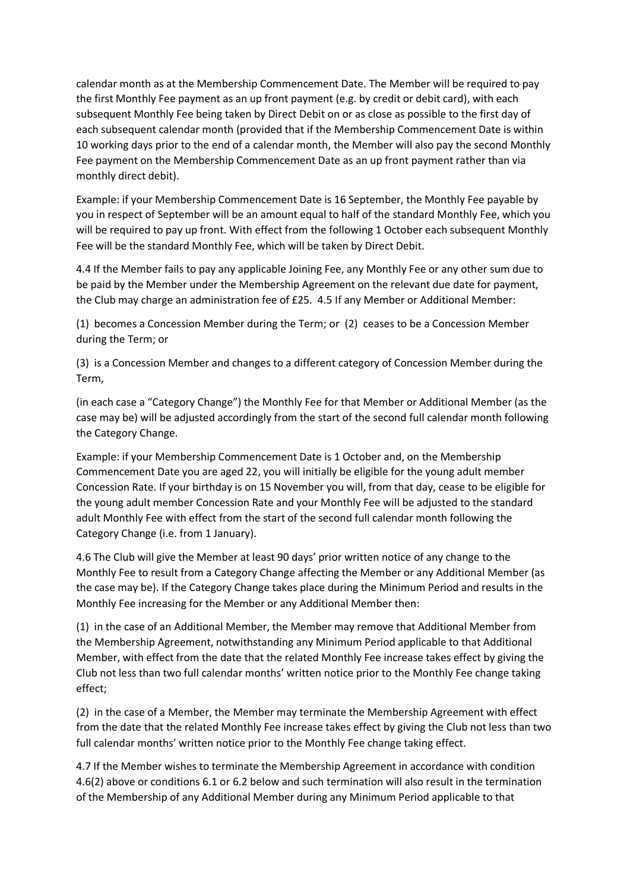calendar month as at the Membership Commencement Date. The Member will be required to pay the first Monthly Fee payment as an up front payment (e.g. by credit or debit card), with each subsequent Monthly Fee being taken by Direct Debit on or as close as possible to the first day of each subsequent calendar month (provided that if the Membership Commencement Date is within 10 working days prior to the end of a calendar month, the Member will also pay the second Monthly Fee payment on the Membership Commencement Date as an up front payment rather than via monthly direct debit).

Example: if your Membership Commencement Date is 16 September, the Monthly Fee payable by you in respect of September will be an amount equal to half of the standard Monthly Fee, which you will be required to pay up front. With effect from the following 1 October each subsequent Monthly Fee will be the standard Monthly Fee, which will be taken by Direct Debit.

4.4 If the Member fails to pay any applicable Joining Fee, any Monthly Fee or any other sum due to be paid by the Member under the Membership Agreement on the relevant due date for payment, the Club may charge an administration fee of £25. 4.5 If any Member or Additional Member:

(1) becomes a Concession Member during the Term; or (2) ceases to be a Concession Member during the Term; or

(3) is a Concession Member and changes to a different category of Concession Member during the Term,

(in each case a "Category Change") the Monthly Fee for that Member or Additional Member (as the case may be) will be adjusted accordingly from the start of the second full calendar month following the Category Change.

Example: if your Membership Commencement Date is 1 October and, on the Membership Commencement Date you are aged 22, you will initially be eligible for the young adult member Concession Rate. If your birthday is on 15 November you will, from that day, cease to be eligible for the young adult member Concession Rate and your Monthly Fee will be adjusted to the standard adult Monthly Fee with effect from the start of the second full calendar month following the Category Change (i.e. from 1 January).

4.6 The Club will give the Member at least 90 days' prior written notice of any change to the Monthly Fee to result from a Category Change affecting the Member or any Additional Member (as the case may be). If the Category Change takes place during the Minimum Period and results in the Monthly Fee increasing for the Member or any Additional Member then:

(1) in the case of an Additional Member, the Member may remove that Additional Member from the Membership Agreement, notwithstanding any Minimum Period applicable to that Additional Member, with effect from the date that the related Monthly Fee increase takes effect by giving the Club not less than two full calendar months' written notice prior to the Monthly Fee change taking effect;

(2) in the case of a Member, the Member may terminate the Membership Agreement with effect from the date that the related Monthly Fee increase takes effect by giving the Club not less than two full calendar months' written notice prior to the Monthly Fee change taking effect.

4.7 If the Member wishes to terminate the Membership Agreement in accordance with condition 4.6(2) above or conditions 6.1 or 6.2 below and such termination will also result in the termination of the Membership of any Additional Member during any Minimum Period applicable to that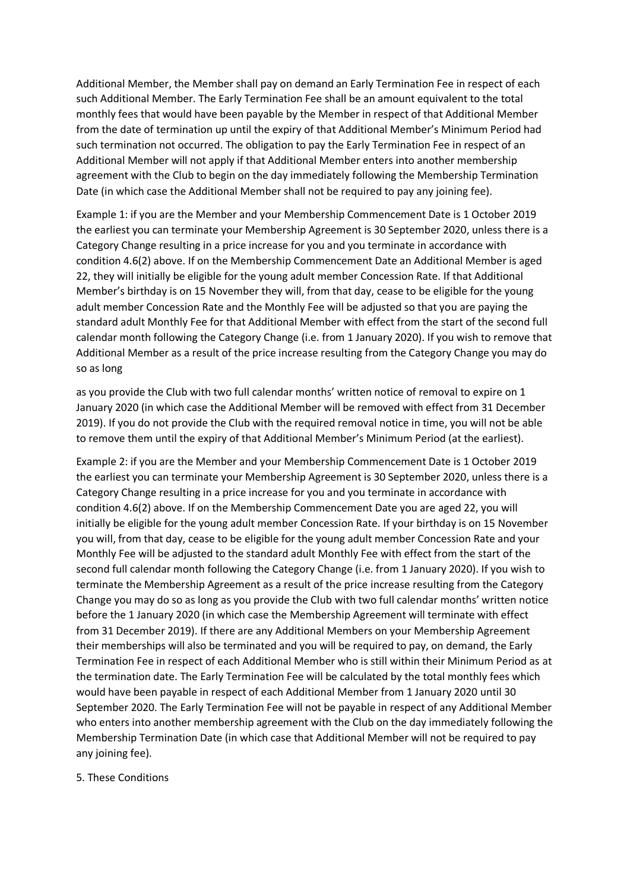Additional Member, the Member shall pay on demand an Early Termination Fee in respect of each such Additional Member. The Early Termination Fee shall be an amount equivalent to the total monthly fees that would have been payable by the Member in respect of that Additional Member from the date of termination up until the expiry of that Additional Member's Minimum Period had such termination not occurred. The obligation to pay the Early Termination Fee in respect of an Additional Member will not apply if that Additional Member enters into another membership agreement with the Club to begin on the day immediately following the Membership Termination Date (in which case the Additional Member shall not be required to pay any joining fee).

Example 1: if you are the Member and your Membership Commencement Date is 1 October 2019 the earliest you can terminate your Membership Agreement is 30 September 2020, unless there is a Category Change resulting in a price increase for you and you terminate in accordance with condition 4.6(2) above. If on the Membership Commencement Date an Additional Member is aged 22, they will initially be eligible for the young adult member Concession Rate. If that Additional Member's birthday is on 15 November they will, from that day, cease to be eligible for the young adult member Concession Rate and the Monthly Fee will be adjusted so that you are paying the standard adult Monthly Fee for that Additional Member with effect from the start of the second full calendar month following the Category Change (i.e. from 1 January 2020). If you wish to remove that Additional Member as a result of the price increase resulting from the Category Change you may do so as long

as you provide the Club with two full calendar months' written notice of removal to expire on 1 January 2020 (in which case the Additional Member will be removed with effect from 31 December 2019). If you do not provide the Club with the required removal notice in time, you will not be able to remove them until the expiry of that Additional Member's Minimum Period (at the earliest).

Example 2: if you are the Member and your Membership Commencement Date is 1 October 2019 the earliest you can terminate your Membership Agreement is 30 September 2020, unless there is a Category Change resulting in a price increase for you and you terminate in accordance with condition 4.6(2) above. If on the Membership Commencement Date you are aged 22, you will initially be eligible for the young adult member Concession Rate. If your birthday is on 15 November you will, from that day, cease to be eligible for the young adult member Concession Rate and your Monthly Fee will be adjusted to the standard adult Monthly Fee with effect from the start of the second full calendar month following the Category Change (i.e. from 1 January 2020). If you wish to terminate the Membership Agreement as a result of the price increase resulting from the Category Change you may do so as long as you provide the Club with two full calendar months' written notice before the 1 January 2020 (in which case the Membership Agreement will terminate with effect from 31 December 2019). If there are any Additional Members on your Membership Agreement their memberships will also be terminated and you will be required to pay, on demand, the Early Termination Fee in respect of each Additional Member who is still within their Minimum Period as at the termination date. The Early Termination Fee will be calculated by the total monthly fees which would have been payable in respect of each Additional Member from 1 January 2020 until 30 September 2020. The Early Termination Fee will not be payable in respect of any Additional Member who enters into another membership agreement with the Club on the day immediately following the Membership Termination Date (in which case that Additional Member will not be required to pay any joining fee).

5. These Conditions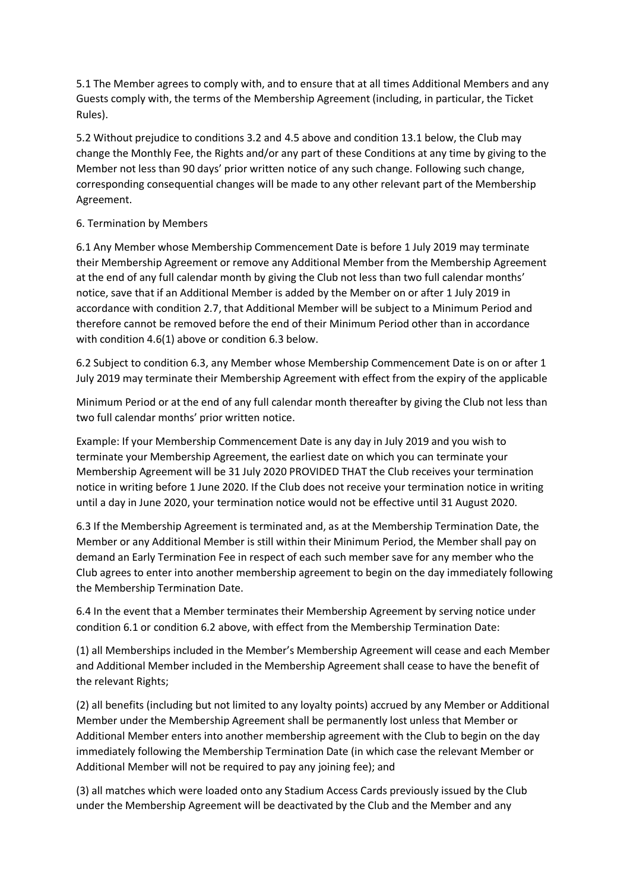5.1 The Member agrees to comply with, and to ensure that at all times Additional Members and any Guests comply with, the terms of the Membership Agreement (including, in particular, the Ticket Rules).

5.2 Without prejudice to conditions 3.2 and 4.5 above and condition 13.1 below, the Club may change the Monthly Fee, the Rights and/or any part of these Conditions at any time by giving to the Member not less than 90 days' prior written notice of any such change. Following such change, corresponding consequential changes will be made to any other relevant part of the Membership Agreement.

## 6. Termination by Members

6.1 Any Member whose Membership Commencement Date is before 1 July 2019 may terminate their Membership Agreement or remove any Additional Member from the Membership Agreement at the end of any full calendar month by giving the Club not less than two full calendar months' notice, save that if an Additional Member is added by the Member on or after 1 July 2019 in accordance with condition 2.7, that Additional Member will be subject to a Minimum Period and therefore cannot be removed before the end of their Minimum Period other than in accordance with condition 4.6(1) above or condition 6.3 below.

6.2 Subject to condition 6.3, any Member whose Membership Commencement Date is on or after 1 July 2019 may terminate their Membership Agreement with effect from the expiry of the applicable

Minimum Period or at the end of any full calendar month thereafter by giving the Club not less than two full calendar months' prior written notice.

Example: If your Membership Commencement Date is any day in July 2019 and you wish to terminate your Membership Agreement, the earliest date on which you can terminate your Membership Agreement will be 31 July 2020 PROVIDED THAT the Club receives your termination notice in writing before 1 June 2020. If the Club does not receive your termination notice in writing until a day in June 2020, your termination notice would not be effective until 31 August 2020.

6.3 If the Membership Agreement is terminated and, as at the Membership Termination Date, the Member or any Additional Member is still within their Minimum Period, the Member shall pay on demand an Early Termination Fee in respect of each such member save for any member who the Club agrees to enter into another membership agreement to begin on the day immediately following the Membership Termination Date.

6.4 In the event that a Member terminates their Membership Agreement by serving notice under condition 6.1 or condition 6.2 above, with effect from the Membership Termination Date:

(1) all Memberships included in the Member's Membership Agreement will cease and each Member and Additional Member included in the Membership Agreement shall cease to have the benefit of the relevant Rights;

(2) all benefits (including but not limited to any loyalty points) accrued by any Member or Additional Member under the Membership Agreement shall be permanently lost unless that Member or Additional Member enters into another membership agreement with the Club to begin on the day immediately following the Membership Termination Date (in which case the relevant Member or Additional Member will not be required to pay any joining fee); and

(3) all matches which were loaded onto any Stadium Access Cards previously issued by the Club under the Membership Agreement will be deactivated by the Club and the Member and any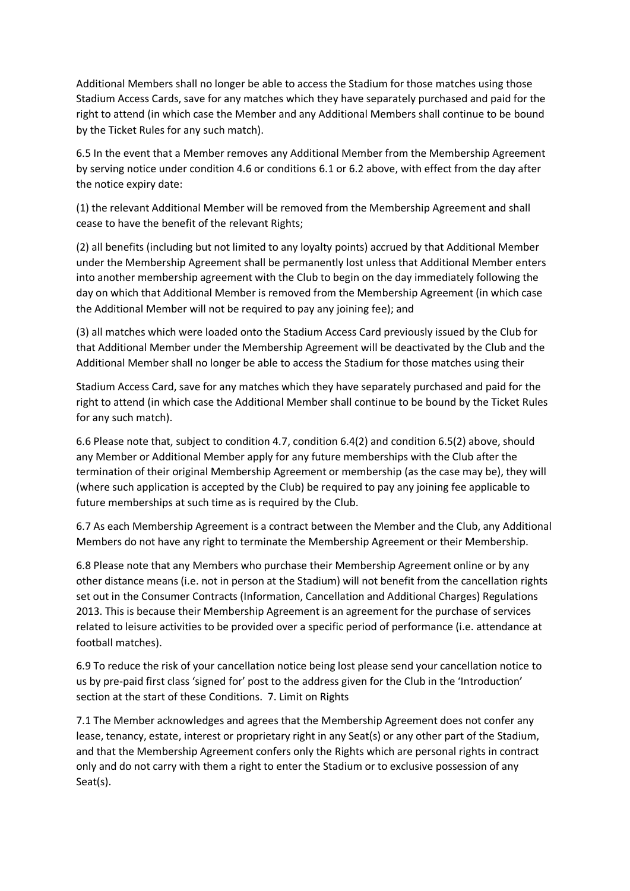Additional Members shall no longer be able to access the Stadium for those matches using those Stadium Access Cards, save for any matches which they have separately purchased and paid for the right to attend (in which case the Member and any Additional Members shall continue to be bound by the Ticket Rules for any such match).

6.5 In the event that a Member removes any Additional Member from the Membership Agreement by serving notice under condition 4.6 or conditions 6.1 or 6.2 above, with effect from the day after the notice expiry date:

(1) the relevant Additional Member will be removed from the Membership Agreement and shall cease to have the benefit of the relevant Rights;

(2) all benefits (including but not limited to any loyalty points) accrued by that Additional Member under the Membership Agreement shall be permanently lost unless that Additional Member enters into another membership agreement with the Club to begin on the day immediately following the day on which that Additional Member is removed from the Membership Agreement (in which case the Additional Member will not be required to pay any joining fee); and

(3) all matches which were loaded onto the Stadium Access Card previously issued by the Club for that Additional Member under the Membership Agreement will be deactivated by the Club and the Additional Member shall no longer be able to access the Stadium for those matches using their

Stadium Access Card, save for any matches which they have separately purchased and paid for the right to attend (in which case the Additional Member shall continue to be bound by the Ticket Rules for any such match).

6.6 Please note that, subject to condition 4.7, condition 6.4(2) and condition 6.5(2) above, should any Member or Additional Member apply for any future memberships with the Club after the termination of their original Membership Agreement or membership (as the case may be), they will (where such application is accepted by the Club) be required to pay any joining fee applicable to future memberships at such time as is required by the Club.

6.7 As each Membership Agreement is a contract between the Member and the Club, any Additional Members do not have any right to terminate the Membership Agreement or their Membership.

6.8 Please note that any Members who purchase their Membership Agreement online or by any other distance means (i.e. not in person at the Stadium) will not benefit from the cancellation rights set out in the Consumer Contracts (Information, Cancellation and Additional Charges) Regulations 2013. This is because their Membership Agreement is an agreement for the purchase of services related to leisure activities to be provided over a specific period of performance (i.e. attendance at football matches).

6.9 To reduce the risk of your cancellation notice being lost please send your cancellation notice to us by pre-paid first class 'signed for' post to the address given for the Club in the 'Introduction' section at the start of these Conditions. 7. Limit on Rights

7.1 The Member acknowledges and agrees that the Membership Agreement does not confer any lease, tenancy, estate, interest or proprietary right in any Seat(s) or any other part of the Stadium, and that the Membership Agreement confers only the Rights which are personal rights in contract only and do not carry with them a right to enter the Stadium or to exclusive possession of any Seat(s).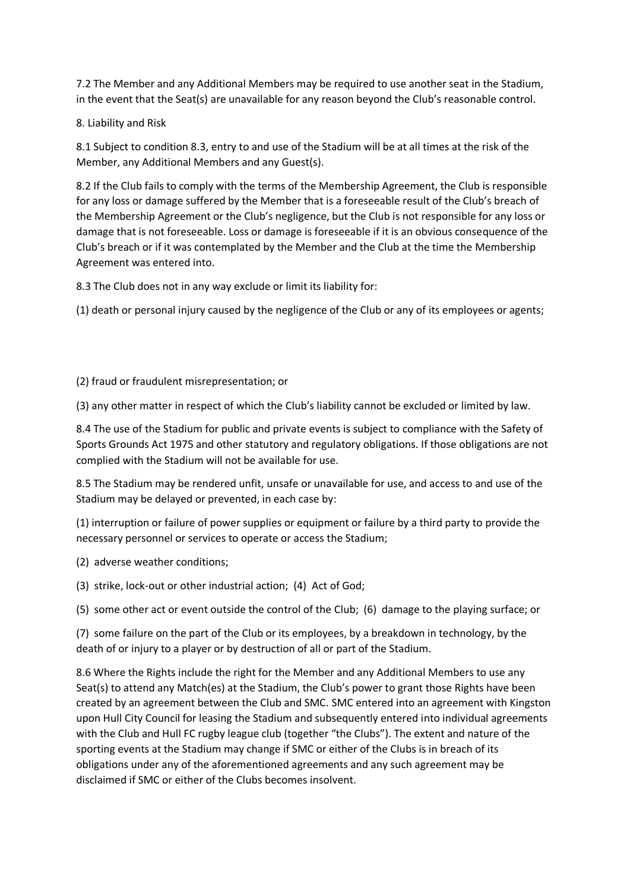7.2 The Member and any Additional Members may be required to use another seat in the Stadium, in the event that the Seat(s) are unavailable for any reason beyond the Club's reasonable control.

## 8. Liability and Risk

8.1 Subject to condition 8.3, entry to and use of the Stadium will be at all times at the risk of the Member, any Additional Members and any Guest(s).

8.2 If the Club fails to comply with the terms of the Membership Agreement, the Club is responsible for any loss or damage suffered by the Member that is a foreseeable result of the Club's breach of the Membership Agreement or the Club's negligence, but the Club is not responsible for any loss or damage that is not foreseeable. Loss or damage is foreseeable if it is an obvious consequence of the Club's breach or if it was contemplated by the Member and the Club at the time the Membership Agreement was entered into.

8.3 The Club does not in any way exclude or limit its liability for:

(1) death or personal injury caused by the negligence of the Club or any of its employees or agents;

### (2) fraud or fraudulent misrepresentation; or

(3) any other matter in respect of which the Club's liability cannot be excluded or limited by law.

8.4 The use of the Stadium for public and private events is subject to compliance with the Safety of Sports Grounds Act 1975 and other statutory and regulatory obligations. If those obligations are not complied with the Stadium will not be available for use.

8.5 The Stadium may be rendered unfit, unsafe or unavailable for use, and access to and use of the Stadium may be delayed or prevented, in each case by:

(1) interruption or failure of power supplies or equipment or failure by a third party to provide the necessary personnel or services to operate or access the Stadium;

(2) adverse weather conditions;

(3) strike, lock-out or other industrial action; (4) Act of God;

(5) some other act or event outside the control of the Club; (6) damage to the playing surface; or

(7) some failure on the part of the Club or its employees, by a breakdown in technology, by the death of or injury to a player or by destruction of all or part of the Stadium.

8.6 Where the Rights include the right for the Member and any Additional Members to use any Seat(s) to attend any Match(es) at the Stadium, the Club's power to grant those Rights have been created by an agreement between the Club and SMC. SMC entered into an agreement with Kingston upon Hull City Council for leasing the Stadium and subsequently entered into individual agreements with the Club and Hull FC rugby league club (together "the Clubs"). The extent and nature of the sporting events at the Stadium may change if SMC or either of the Clubs is in breach of its obligations under any of the aforementioned agreements and any such agreement may be disclaimed if SMC or either of the Clubs becomes insolvent.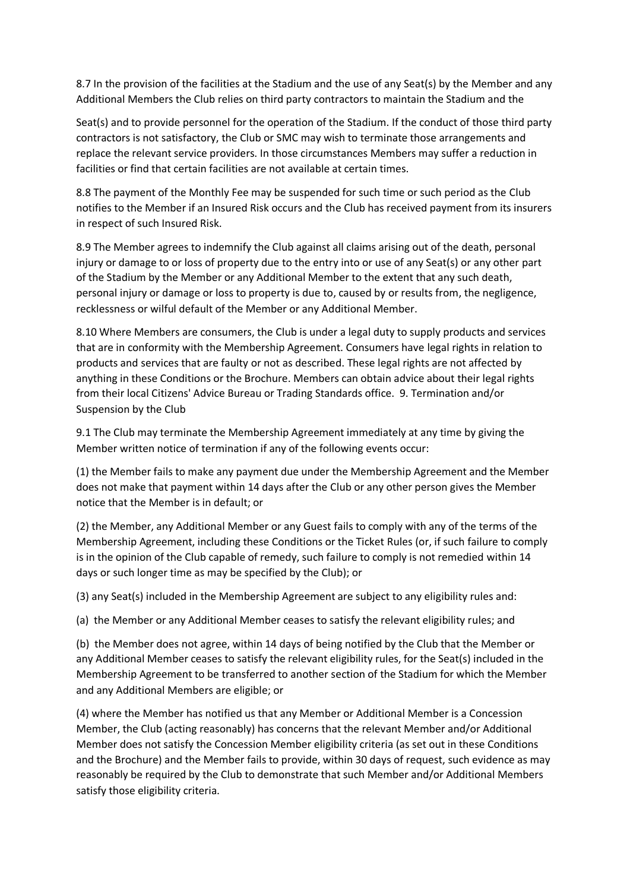8.7 In the provision of the facilities at the Stadium and the use of any Seat(s) by the Member and any Additional Members the Club relies on third party contractors to maintain the Stadium and the

Seat(s) and to provide personnel for the operation of the Stadium. If the conduct of those third party contractors is not satisfactory, the Club or SMC may wish to terminate those arrangements and replace the relevant service providers. In those circumstances Members may suffer a reduction in facilities or find that certain facilities are not available at certain times.

8.8 The payment of the Monthly Fee may be suspended for such time or such period as the Club notifies to the Member if an Insured Risk occurs and the Club has received payment from its insurers in respect of such Insured Risk.

8.9 The Member agrees to indemnify the Club against all claims arising out of the death, personal injury or damage to or loss of property due to the entry into or use of any Seat(s) or any other part of the Stadium by the Member or any Additional Member to the extent that any such death, personal injury or damage or loss to property is due to, caused by or results from, the negligence, recklessness or wilful default of the Member or any Additional Member.

8.10 Where Members are consumers, the Club is under a legal duty to supply products and services that are in conformity with the Membership Agreement. Consumers have legal rights in relation to products and services that are faulty or not as described. These legal rights are not affected by anything in these Conditions or the Brochure. Members can obtain advice about their legal rights from their local Citizens' Advice Bureau or Trading Standards office. 9. Termination and/or Suspension by the Club

9.1 The Club may terminate the Membership Agreement immediately at any time by giving the Member written notice of termination if any of the following events occur:

(1) the Member fails to make any payment due under the Membership Agreement and the Member does not make that payment within 14 days after the Club or any other person gives the Member notice that the Member is in default; or

(2) the Member, any Additional Member or any Guest fails to comply with any of the terms of the Membership Agreement, including these Conditions or the Ticket Rules (or, if such failure to comply is in the opinion of the Club capable of remedy, such failure to comply is not remedied within 14 days or such longer time as may be specified by the Club); or

(3) any Seat(s) included in the Membership Agreement are subject to any eligibility rules and:

(a) the Member or any Additional Member ceases to satisfy the relevant eligibility rules; and

(b) the Member does not agree, within 14 days of being notified by the Club that the Member or any Additional Member ceases to satisfy the relevant eligibility rules, for the Seat(s) included in the Membership Agreement to be transferred to another section of the Stadium for which the Member and any Additional Members are eligible; or

(4) where the Member has notified us that any Member or Additional Member is a Concession Member, the Club (acting reasonably) has concerns that the relevant Member and/or Additional Member does not satisfy the Concession Member eligibility criteria (as set out in these Conditions and the Brochure) and the Member fails to provide, within 30 days of request, such evidence as may reasonably be required by the Club to demonstrate that such Member and/or Additional Members satisfy those eligibility criteria.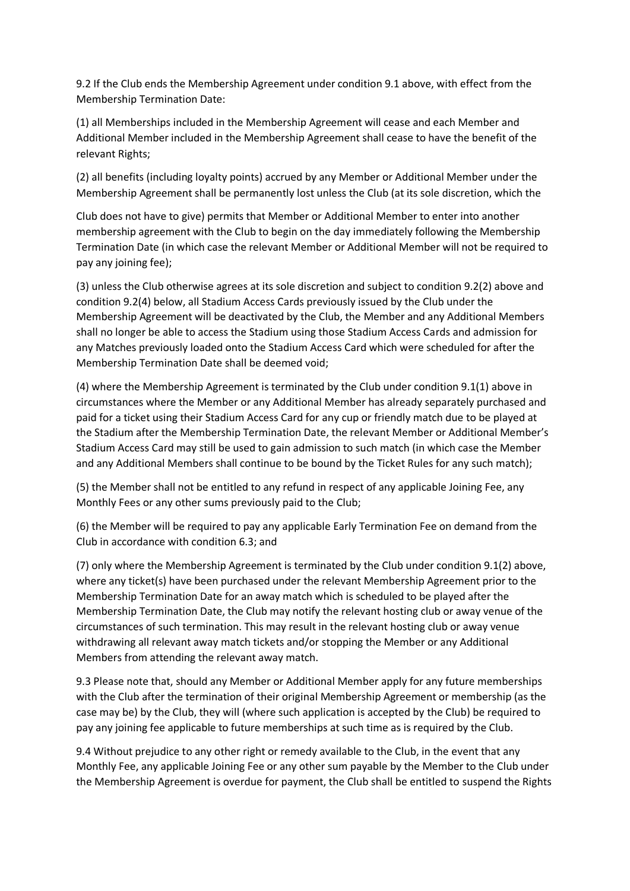9.2 If the Club ends the Membership Agreement under condition 9.1 above, with effect from the Membership Termination Date:

(1) all Memberships included in the Membership Agreement will cease and each Member and Additional Member included in the Membership Agreement shall cease to have the benefit of the relevant Rights;

(2) all benefits (including loyalty points) accrued by any Member or Additional Member under the Membership Agreement shall be permanently lost unless the Club (at its sole discretion, which the

Club does not have to give) permits that Member or Additional Member to enter into another membership agreement with the Club to begin on the day immediately following the Membership Termination Date (in which case the relevant Member or Additional Member will not be required to pay any joining fee);

(3) unless the Club otherwise agrees at its sole discretion and subject to condition 9.2(2) above and condition 9.2(4) below, all Stadium Access Cards previously issued by the Club under the Membership Agreement will be deactivated by the Club, the Member and any Additional Members shall no longer be able to access the Stadium using those Stadium Access Cards and admission for any Matches previously loaded onto the Stadium Access Card which were scheduled for after the Membership Termination Date shall be deemed void;

(4) where the Membership Agreement is terminated by the Club under condition 9.1(1) above in circumstances where the Member or any Additional Member has already separately purchased and paid for a ticket using their Stadium Access Card for any cup or friendly match due to be played at the Stadium after the Membership Termination Date, the relevant Member or Additional Member's Stadium Access Card may still be used to gain admission to such match (in which case the Member and any Additional Members shall continue to be bound by the Ticket Rules for any such match);

(5) the Member shall not be entitled to any refund in respect of any applicable Joining Fee, any Monthly Fees or any other sums previously paid to the Club;

(6) the Member will be required to pay any applicable Early Termination Fee on demand from the Club in accordance with condition 6.3; and

(7) only where the Membership Agreement is terminated by the Club under condition 9.1(2) above, where any ticket(s) have been purchased under the relevant Membership Agreement prior to the Membership Termination Date for an away match which is scheduled to be played after the Membership Termination Date, the Club may notify the relevant hosting club or away venue of the circumstances of such termination. This may result in the relevant hosting club or away venue withdrawing all relevant away match tickets and/or stopping the Member or any Additional Members from attending the relevant away match.

9.3 Please note that, should any Member or Additional Member apply for any future memberships with the Club after the termination of their original Membership Agreement or membership (as the case may be) by the Club, they will (where such application is accepted by the Club) be required to pay any joining fee applicable to future memberships at such time as is required by the Club.

9.4 Without prejudice to any other right or remedy available to the Club, in the event that any Monthly Fee, any applicable Joining Fee or any other sum payable by the Member to the Club under the Membership Agreement is overdue for payment, the Club shall be entitled to suspend the Rights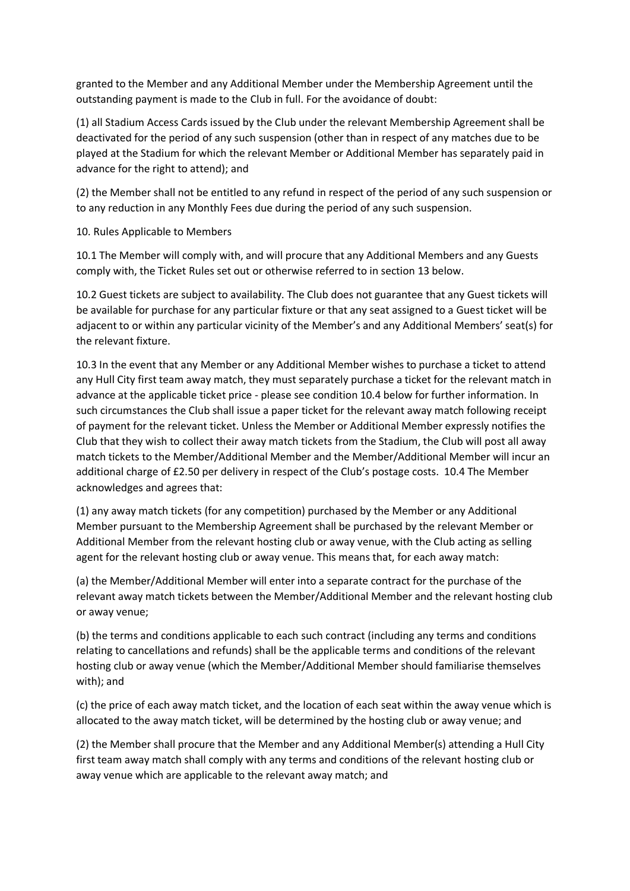granted to the Member and any Additional Member under the Membership Agreement until the outstanding payment is made to the Club in full. For the avoidance of doubt:

(1) all Stadium Access Cards issued by the Club under the relevant Membership Agreement shall be deactivated for the period of any such suspension (other than in respect of any matches due to be played at the Stadium for which the relevant Member or Additional Member has separately paid in advance for the right to attend); and

(2) the Member shall not be entitled to any refund in respect of the period of any such suspension or to any reduction in any Monthly Fees due during the period of any such suspension.

10. Rules Applicable to Members

10.1 The Member will comply with, and will procure that any Additional Members and any Guests comply with, the Ticket Rules set out or otherwise referred to in section 13 below.

10.2 Guest tickets are subject to availability. The Club does not guarantee that any Guest tickets will be available for purchase for any particular fixture or that any seat assigned to a Guest ticket will be adjacent to or within any particular vicinity of the Member's and any Additional Members' seat(s) for the relevant fixture.

10.3 In the event that any Member or any Additional Member wishes to purchase a ticket to attend any Hull City first team away match, they must separately purchase a ticket for the relevant match in advance at the applicable ticket price - please see condition 10.4 below for further information. In such circumstances the Club shall issue a paper ticket for the relevant away match following receipt of payment for the relevant ticket. Unless the Member or Additional Member expressly notifies the Club that they wish to collect their away match tickets from the Stadium, the Club will post all away match tickets to the Member/Additional Member and the Member/Additional Member will incur an additional charge of £2.50 per delivery in respect of the Club's postage costs. 10.4 The Member acknowledges and agrees that:

(1) any away match tickets (for any competition) purchased by the Member or any Additional Member pursuant to the Membership Agreement shall be purchased by the relevant Member or Additional Member from the relevant hosting club or away venue, with the Club acting as selling agent for the relevant hosting club or away venue. This means that, for each away match:

(a) the Member/Additional Member will enter into a separate contract for the purchase of the relevant away match tickets between the Member/Additional Member and the relevant hosting club or away venue;

(b) the terms and conditions applicable to each such contract (including any terms and conditions relating to cancellations and refunds) shall be the applicable terms and conditions of the relevant hosting club or away venue (which the Member/Additional Member should familiarise themselves with); and

(c) the price of each away match ticket, and the location of each seat within the away venue which is allocated to the away match ticket, will be determined by the hosting club or away venue; and

(2) the Member shall procure that the Member and any Additional Member(s) attending a Hull City first team away match shall comply with any terms and conditions of the relevant hosting club or away venue which are applicable to the relevant away match; and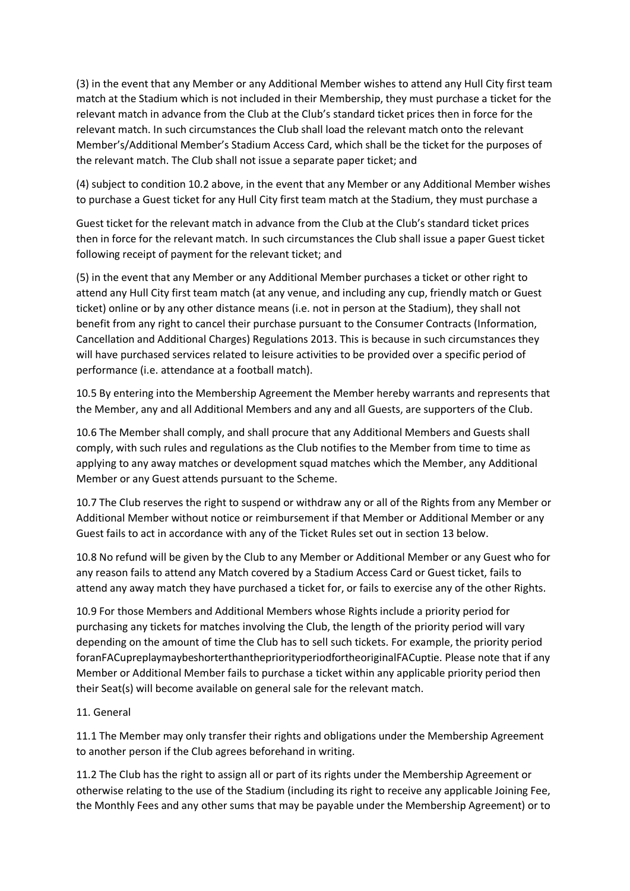(3) in the event that any Member or any Additional Member wishes to attend any Hull City first team match at the Stadium which is not included in their Membership, they must purchase a ticket for the relevant match in advance from the Club at the Club's standard ticket prices then in force for the relevant match. In such circumstances the Club shall load the relevant match onto the relevant Member's/Additional Member's Stadium Access Card, which shall be the ticket for the purposes of the relevant match. The Club shall not issue a separate paper ticket; and

(4) subject to condition 10.2 above, in the event that any Member or any Additional Member wishes to purchase a Guest ticket for any Hull City first team match at the Stadium, they must purchase a

Guest ticket for the relevant match in advance from the Club at the Club's standard ticket prices then in force for the relevant match. In such circumstances the Club shall issue a paper Guest ticket following receipt of payment for the relevant ticket; and

(5) in the event that any Member or any Additional Member purchases a ticket or other right to attend any Hull City first team match (at any venue, and including any cup, friendly match or Guest ticket) online or by any other distance means (i.e. not in person at the Stadium), they shall not benefit from any right to cancel their purchase pursuant to the Consumer Contracts (Information, Cancellation and Additional Charges) Regulations 2013. This is because in such circumstances they will have purchased services related to leisure activities to be provided over a specific period of performance (i.e. attendance at a football match).

10.5 By entering into the Membership Agreement the Member hereby warrants and represents that the Member, any and all Additional Members and any and all Guests, are supporters of the Club.

10.6 The Member shall comply, and shall procure that any Additional Members and Guests shall comply, with such rules and regulations as the Club notifies to the Member from time to time as applying to any away matches or development squad matches which the Member, any Additional Member or any Guest attends pursuant to the Scheme.

10.7 The Club reserves the right to suspend or withdraw any or all of the Rights from any Member or Additional Member without notice or reimbursement if that Member or Additional Member or any Guest fails to act in accordance with any of the Ticket Rules set out in section 13 below.

10.8 No refund will be given by the Club to any Member or Additional Member or any Guest who for any reason fails to attend any Match covered by a Stadium Access Card or Guest ticket, fails to attend any away match they have purchased a ticket for, or fails to exercise any of the other Rights.

10.9 For those Members and Additional Members whose Rights include a priority period for purchasing any tickets for matches involving the Club, the length of the priority period will vary depending on the amount of time the Club has to sell such tickets. For example, the priority period foranFACupreplaymaybeshorterthanthepriorityperiodfortheoriginalFACuptie. Please note that if any Member or Additional Member fails to purchase a ticket within any applicable priority period then their Seat(s) will become available on general sale for the relevant match.

# 11. General

11.1 The Member may only transfer their rights and obligations under the Membership Agreement to another person if the Club agrees beforehand in writing.

11.2 The Club has the right to assign all or part of its rights under the Membership Agreement or otherwise relating to the use of the Stadium (including its right to receive any applicable Joining Fee, the Monthly Fees and any other sums that may be payable under the Membership Agreement) or to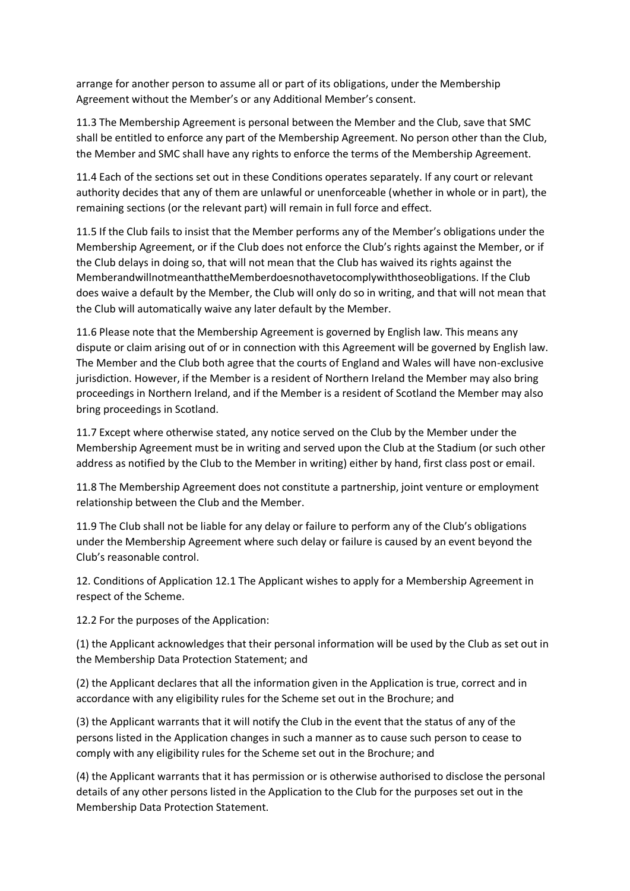arrange for another person to assume all or part of its obligations, under the Membership Agreement without the Member's or any Additional Member's consent.

11.3 The Membership Agreement is personal between the Member and the Club, save that SMC shall be entitled to enforce any part of the Membership Agreement. No person other than the Club, the Member and SMC shall have any rights to enforce the terms of the Membership Agreement.

11.4 Each of the sections set out in these Conditions operates separately. If any court or relevant authority decides that any of them are unlawful or unenforceable (whether in whole or in part), the remaining sections (or the relevant part) will remain in full force and effect.

11.5 If the Club fails to insist that the Member performs any of the Member's obligations under the Membership Agreement, or if the Club does not enforce the Club's rights against the Member, or if the Club delays in doing so, that will not mean that the Club has waived its rights against the MemberandwillnotmeanthattheMemberdoesnothavetocomplywiththoseobligations. If the Club does waive a default by the Member, the Club will only do so in writing, and that will not mean that the Club will automatically waive any later default by the Member.

11.6 Please note that the Membership Agreement is governed by English law. This means any dispute or claim arising out of or in connection with this Agreement will be governed by English law. The Member and the Club both agree that the courts of England and Wales will have non-exclusive jurisdiction. However, if the Member is a resident of Northern Ireland the Member may also bring proceedings in Northern Ireland, and if the Member is a resident of Scotland the Member may also bring proceedings in Scotland.

11.7 Except where otherwise stated, any notice served on the Club by the Member under the Membership Agreement must be in writing and served upon the Club at the Stadium (or such other address as notified by the Club to the Member in writing) either by hand, first class post or email.

11.8 The Membership Agreement does not constitute a partnership, joint venture or employment relationship between the Club and the Member.

11.9 The Club shall not be liable for any delay or failure to perform any of the Club's obligations under the Membership Agreement where such delay or failure is caused by an event beyond the Club's reasonable control.

12. Conditions of Application 12.1 The Applicant wishes to apply for a Membership Agreement in respect of the Scheme.

12.2 For the purposes of the Application:

(1) the Applicant acknowledges that their personal information will be used by the Club as set out in the Membership Data Protection Statement; and

(2) the Applicant declares that all the information given in the Application is true, correct and in accordance with any eligibility rules for the Scheme set out in the Brochure; and

(3) the Applicant warrants that it will notify the Club in the event that the status of any of the persons listed in the Application changes in such a manner as to cause such person to cease to comply with any eligibility rules for the Scheme set out in the Brochure; and

(4) the Applicant warrants that it has permission or is otherwise authorised to disclose the personal details of any other persons listed in the Application to the Club for the purposes set out in the Membership Data Protection Statement.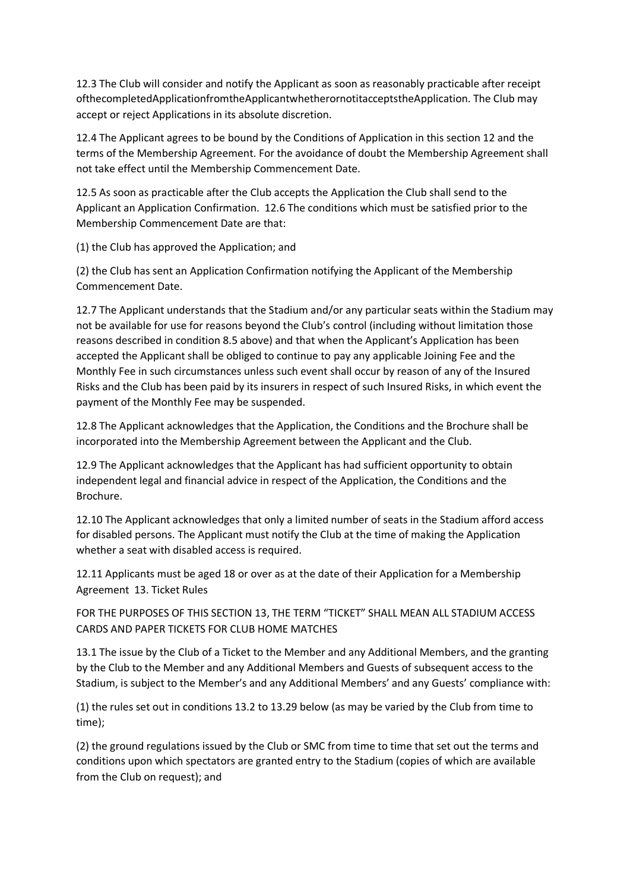12.3 The Club will consider and notify the Applicant as soon as reasonably practicable after receipt ofthecompletedApplicationfromtheApplicantwhetherornotitacceptstheApplication. The Club may accept or reject Applications in its absolute discretion.

12.4 The Applicant agrees to be bound by the Conditions of Application in this section 12 and the terms of the Membership Agreement. For the avoidance of doubt the Membership Agreement shall not take effect until the Membership Commencement Date.

12.5 As soon as practicable after the Club accepts the Application the Club shall send to the Applicant an Application Confirmation. 12.6 The conditions which must be satisfied prior to the Membership Commencement Date are that:

(1) the Club has approved the Application; and

(2) the Club has sent an Application Confirmation notifying the Applicant of the Membership Commencement Date.

12.7 The Applicant understands that the Stadium and/or any particular seats within the Stadium may not be available for use for reasons beyond the Club's control (including without limitation those reasons described in condition 8.5 above) and that when the Applicant's Application has been accepted the Applicant shall be obliged to continue to pay any applicable Joining Fee and the Monthly Fee in such circumstances unless such event shall occur by reason of any of the Insured Risks and the Club has been paid by its insurers in respect of such Insured Risks, in which event the payment of the Monthly Fee may be suspended.

12.8 The Applicant acknowledges that the Application, the Conditions and the Brochure shall be incorporated into the Membership Agreement between the Applicant and the Club.

12.9 The Applicant acknowledges that the Applicant has had sufficient opportunity to obtain independent legal and financial advice in respect of the Application, the Conditions and the Brochure.

12.10 The Applicant acknowledges that only a limited number of seats in the Stadium afford access for disabled persons. The Applicant must notify the Club at the time of making the Application whether a seat with disabled access is required.

12.11 Applicants must be aged 18 or over as at the date of their Application for a Membership Agreement 13. Ticket Rules

FOR THE PURPOSES OF THIS SECTION 13, THE TERM "TICKET" SHALL MEAN ALL STADIUM ACCESS CARDS AND PAPER TICKETS FOR CLUB HOME MATCHES

13.1 The issue by the Club of a Ticket to the Member and any Additional Members, and the granting by the Club to the Member and any Additional Members and Guests of subsequent access to the Stadium, is subject to the Member's and any Additional Members' and any Guests' compliance with:

(1) the rules set out in conditions 13.2 to 13.29 below (as may be varied by the Club from time to time);

(2) the ground regulations issued by the Club or SMC from time to time that set out the terms and conditions upon which spectators are granted entry to the Stadium (copies of which are available from the Club on request); and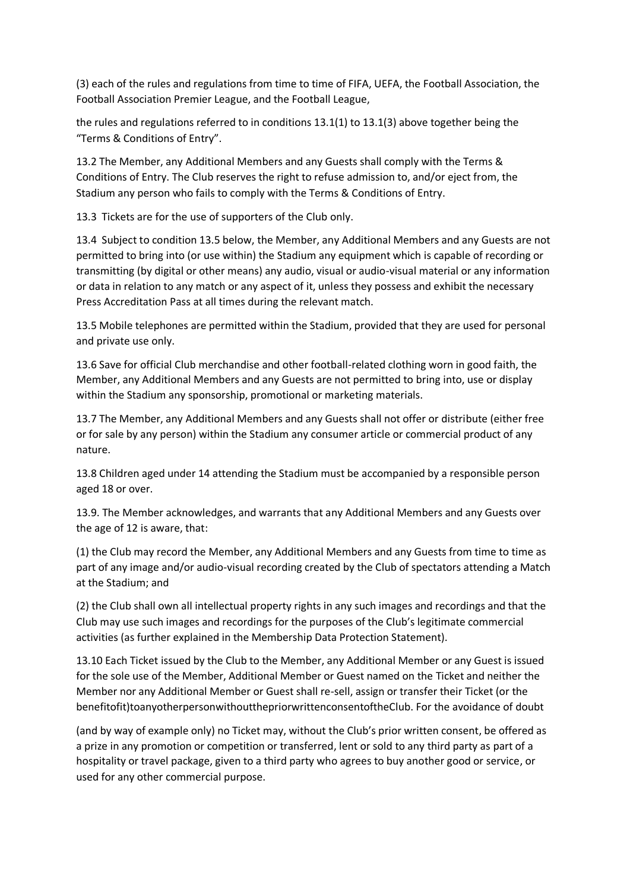(3) each of the rules and regulations from time to time of FIFA, UEFA, the Football Association, the Football Association Premier League, and the Football League,

the rules and regulations referred to in conditions 13.1(1) to 13.1(3) above together being the "Terms & Conditions of Entry".

13.2 The Member, any Additional Members and any Guests shall comply with the Terms & Conditions of Entry. The Club reserves the right to refuse admission to, and/or eject from, the Stadium any person who fails to comply with the Terms & Conditions of Entry.

13.3 Tickets are for the use of supporters of the Club only.

13.4 Subject to condition 13.5 below, the Member, any Additional Members and any Guests are not permitted to bring into (or use within) the Stadium any equipment which is capable of recording or transmitting (by digital or other means) any audio, visual or audio-visual material or any information or data in relation to any match or any aspect of it, unless they possess and exhibit the necessary Press Accreditation Pass at all times during the relevant match.

13.5 Mobile telephones are permitted within the Stadium, provided that they are used for personal and private use only.

13.6 Save for official Club merchandise and other football-related clothing worn in good faith, the Member, any Additional Members and any Guests are not permitted to bring into, use or display within the Stadium any sponsorship, promotional or marketing materials.

13.7 The Member, any Additional Members and any Guests shall not offer or distribute (either free or for sale by any person) within the Stadium any consumer article or commercial product of any nature.

13.8 Children aged under 14 attending the Stadium must be accompanied by a responsible person aged 18 or over.

13.9. The Member acknowledges, and warrants that any Additional Members and any Guests over the age of 12 is aware, that:

(1) the Club may record the Member, any Additional Members and any Guests from time to time as part of any image and/or audio-visual recording created by the Club of spectators attending a Match at the Stadium; and

(2) the Club shall own all intellectual property rights in any such images and recordings and that the Club may use such images and recordings for the purposes of the Club's legitimate commercial activities (as further explained in the Membership Data Protection Statement).

13.10 Each Ticket issued by the Club to the Member, any Additional Member or any Guest is issued for the sole use of the Member, Additional Member or Guest named on the Ticket and neither the Member nor any Additional Member or Guest shall re-sell, assign or transfer their Ticket (or the benefitofit)toanyotherpersonwithoutthepriorwrittenconsentoftheClub. For the avoidance of doubt

(and by way of example only) no Ticket may, without the Club's prior written consent, be offered as a prize in any promotion or competition or transferred, lent or sold to any third party as part of a hospitality or travel package, given to a third party who agrees to buy another good or service, or used for any other commercial purpose.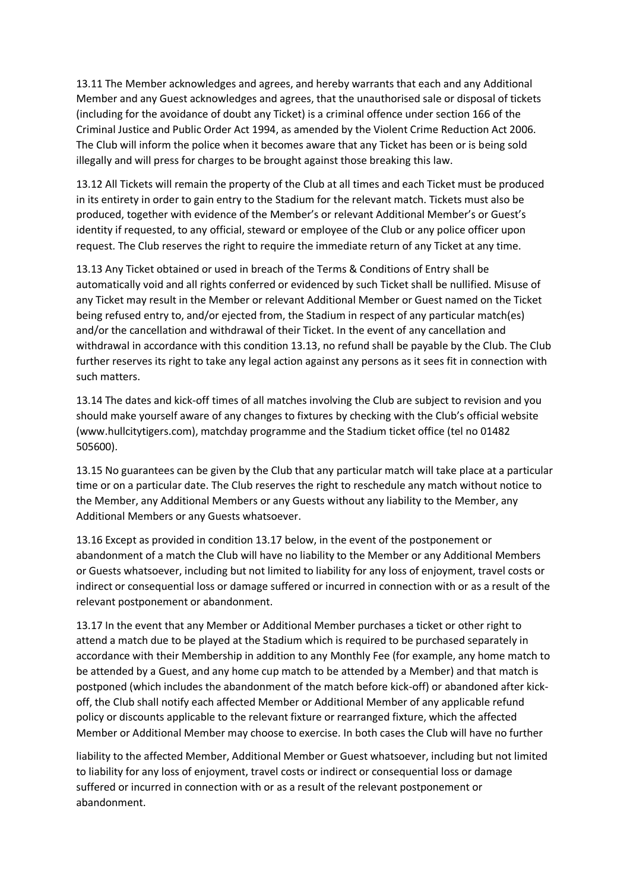13.11 The Member acknowledges and agrees, and hereby warrants that each and any Additional Member and any Guest acknowledges and agrees, that the unauthorised sale or disposal of tickets (including for the avoidance of doubt any Ticket) is a criminal offence under section 166 of the Criminal Justice and Public Order Act 1994, as amended by the Violent Crime Reduction Act 2006. The Club will inform the police when it becomes aware that any Ticket has been or is being sold illegally and will press for charges to be brought against those breaking this law.

13.12 All Tickets will remain the property of the Club at all times and each Ticket must be produced in its entirety in order to gain entry to the Stadium for the relevant match. Tickets must also be produced, together with evidence of the Member's or relevant Additional Member's or Guest's identity if requested, to any official, steward or employee of the Club or any police officer upon request. The Club reserves the right to require the immediate return of any Ticket at any time.

13.13 Any Ticket obtained or used in breach of the Terms & Conditions of Entry shall be automatically void and all rights conferred or evidenced by such Ticket shall be nullified. Misuse of any Ticket may result in the Member or relevant Additional Member or Guest named on the Ticket being refused entry to, and/or ejected from, the Stadium in respect of any particular match(es) and/or the cancellation and withdrawal of their Ticket. In the event of any cancellation and withdrawal in accordance with this condition 13.13, no refund shall be payable by the Club. The Club further reserves its right to take any legal action against any persons as it sees fit in connection with such matters.

13.14 The dates and kick-off times of all matches involving the Club are subject to revision and you should make yourself aware of any changes to fixtures by checking with the Club's official website (www.hullcitytigers.com), matchday programme and the Stadium ticket office (tel no 01482 505600).

13.15 No guarantees can be given by the Club that any particular match will take place at a particular time or on a particular date. The Club reserves the right to reschedule any match without notice to the Member, any Additional Members or any Guests without any liability to the Member, any Additional Members or any Guests whatsoever.

13.16 Except as provided in condition 13.17 below, in the event of the postponement or abandonment of a match the Club will have no liability to the Member or any Additional Members or Guests whatsoever, including but not limited to liability for any loss of enjoyment, travel costs or indirect or consequential loss or damage suffered or incurred in connection with or as a result of the relevant postponement or abandonment.

13.17 In the event that any Member or Additional Member purchases a ticket or other right to attend a match due to be played at the Stadium which is required to be purchased separately in accordance with their Membership in addition to any Monthly Fee (for example, any home match to be attended by a Guest, and any home cup match to be attended by a Member) and that match is postponed (which includes the abandonment of the match before kick-off) or abandoned after kickoff, the Club shall notify each affected Member or Additional Member of any applicable refund policy or discounts applicable to the relevant fixture or rearranged fixture, which the affected Member or Additional Member may choose to exercise. In both cases the Club will have no further

liability to the affected Member, Additional Member or Guest whatsoever, including but not limited to liability for any loss of enjoyment, travel costs or indirect or consequential loss or damage suffered or incurred in connection with or as a result of the relevant postponement or abandonment.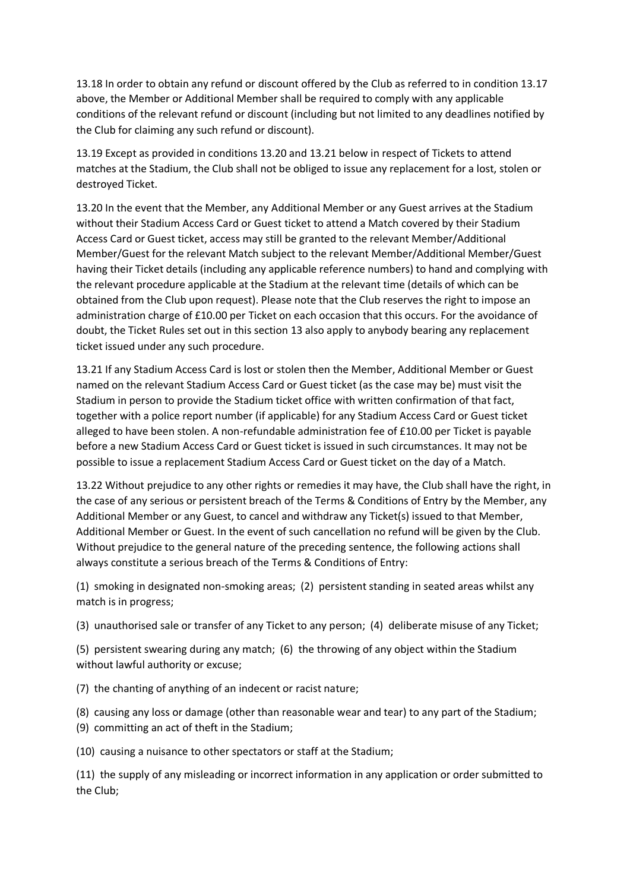13.18 In order to obtain any refund or discount offered by the Club as referred to in condition 13.17 above, the Member or Additional Member shall be required to comply with any applicable conditions of the relevant refund or discount (including but not limited to any deadlines notified by the Club for claiming any such refund or discount).

13.19 Except as provided in conditions 13.20 and 13.21 below in respect of Tickets to attend matches at the Stadium, the Club shall not be obliged to issue any replacement for a lost, stolen or destroyed Ticket.

13.20 In the event that the Member, any Additional Member or any Guest arrives at the Stadium without their Stadium Access Card or Guest ticket to attend a Match covered by their Stadium Access Card or Guest ticket, access may still be granted to the relevant Member/Additional Member/Guest for the relevant Match subject to the relevant Member/Additional Member/Guest having their Ticket details (including any applicable reference numbers) to hand and complying with the relevant procedure applicable at the Stadium at the relevant time (details of which can be obtained from the Club upon request). Please note that the Club reserves the right to impose an administration charge of £10.00 per Ticket on each occasion that this occurs. For the avoidance of doubt, the Ticket Rules set out in this section 13 also apply to anybody bearing any replacement ticket issued under any such procedure.

13.21 If any Stadium Access Card is lost or stolen then the Member, Additional Member or Guest named on the relevant Stadium Access Card or Guest ticket (as the case may be) must visit the Stadium in person to provide the Stadium ticket office with written confirmation of that fact, together with a police report number (if applicable) for any Stadium Access Card or Guest ticket alleged to have been stolen. A non-refundable administration fee of £10.00 per Ticket is payable before a new Stadium Access Card or Guest ticket is issued in such circumstances. It may not be possible to issue a replacement Stadium Access Card or Guest ticket on the day of a Match.

13.22 Without prejudice to any other rights or remedies it may have, the Club shall have the right, in the case of any serious or persistent breach of the Terms & Conditions of Entry by the Member, any Additional Member or any Guest, to cancel and withdraw any Ticket(s) issued to that Member, Additional Member or Guest. In the event of such cancellation no refund will be given by the Club. Without prejudice to the general nature of the preceding sentence, the following actions shall always constitute a serious breach of the Terms & Conditions of Entry:

(1) smoking in designated non-smoking areas; (2) persistent standing in seated areas whilst any match is in progress;

(3) unauthorised sale or transfer of any Ticket to any person; (4) deliberate misuse of any Ticket;

(5) persistent swearing during any match; (6) the throwing of any object within the Stadium without lawful authority or excuse;

(7) the chanting of anything of an indecent or racist nature;

(8) causing any loss or damage (other than reasonable wear and tear) to any part of the Stadium;

(9) committing an act of theft in the Stadium;

(10) causing a nuisance to other spectators or staff at the Stadium;

(11) the supply of any misleading or incorrect information in any application or order submitted to the Club;